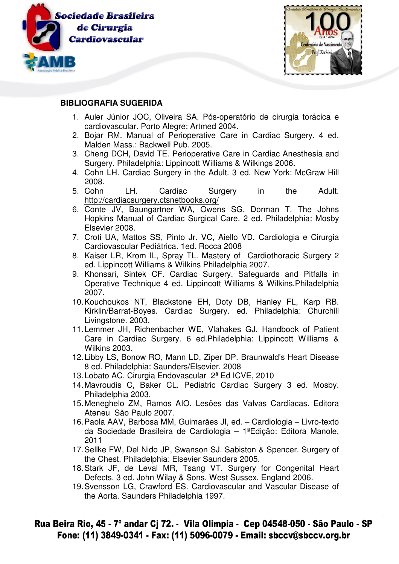



## **BIBLIOGRAFIA SUGERIDA**

- 1. Auler Júnior JOC, Oliveira SA. Pós-operatório de cirurgia torácica e cardiovascular. Porto Alegre: Artmed 2004.
- 2. Bojar RM. Manual of Perioperative Care in Cardiac Surgery. 4 ed. Malden Mass.: Backwell Pub. 2005.
- 3. Cheng DCH, David TE. Perioperative Care in Cardiac Anesthesia and Surgery. Philadelphia: Lippincott Williams & Wilkings 2006.
- 4. Cohn LH. Cardiac Surgery in the Adult. 3 ed. New York: McGraw Hill 2008.
- 5. Cohn LH. Cardiac Surgery in the Adult. http://cardiacsurgery.ctsnetbooks.org/
- 6. Conte JV, Baungartner WA, Owens SG, Dorman T. The Johns Hopkins Manual of Cardiac Surgical Care. 2 ed. Philadelphia: Mosby Elsevier 2008.
- 7. Croti UA, Mattos SS, Pinto Jr. VC, Aiello VD. Cardiologia e Cirurgia Cardiovascular Pediátrica. 1ed. Rocca 2008
- 8. Kaiser LR, Krom IL, Spray TL. Mastery of Cardiothoracic Surgery 2 ed. Lippincott Williams & Wilkins Philadelphia 2007.
- 9. Khonsari, Sintek CF. Cardiac Surgery. Safeguards and Pitfalls in Operative Technique 4 ed. Lippincott Williams & Wilkins.Philadelphia 2007.
- 10. Kouchoukos NT, Blackstone EH, Doty DB, Hanley FL, Karp RB. Kirklin/Barrat-Boyes. Cardiac Surgery. ed. Philadelphia: Churchill Livingstone. 2003.
- 11. Lemmer JH, Richenbacher WE, Vlahakes GJ, Handbook of Patient Care in Cardiac Surgery. 6 ed.Philadelphia: Lippincott Williams & Wilkins 2003.
- 12. Libby LS, Bonow RO, Mann LD, Ziper DP. Braunwald's Heart Disease 8 ed. Philadelphia: Saunders/Elsevier. 2008
- 13. Lobato AC. Cirurgia Endovascular 2ª Ed ICVE, 2010
- 14. Mavroudis C, Baker CL. Pediatric Cardiac Surgery 3 ed. Mosby. Philadelphia 2003.
- 15. Meneghelo ZM, Ramos AIO. Lesões das Valvas Cardíacas. Editora Ateneu São Paulo 2007.
- 16. Paola AAV, Barbosa MM, Guimarães JI, ed. Cardiologia Livro-texto da Sociedade Brasileira de Cardiologia – 1ªEdição: Editora Manole, 2011
- 17. Sellke FW, Del Nido JP, Swanson SJ. Sabiston & Spencer. Surgery of the Chest. Philadelphia: Elsevier Saunders 2005.
- 18. Stark JF, de Leval MR, Tsang VT. Surgery for Congenital Heart Defects. 3 ed. John Wilay & Sons. West Sussex. England 2006.
- 19. Svensson LG, Crawford ES. Cardiovascular and Vascular Disease of the Aorta. Saunders Philadelphia 1997.

## Rua Beira Rio, 45 - 7º andar Cj 72. - Vila Olimpia - Cep 04548-050 - São Paulo - SP Fone: (11) 3849-0341 - Fax: (11) 5096-0079 - Email: sbccv@sbccv.org.br